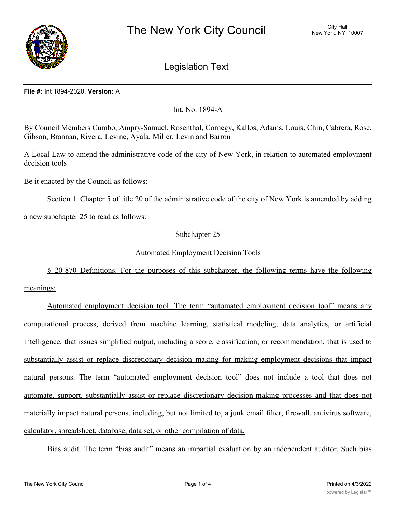

# Legislation Text

### **File #:** Int 1894-2020, **Version:** A

Int. No. 1894-A

By Council Members Cumbo, Ampry-Samuel, Rosenthal, Cornegy, Kallos, Adams, Louis, Chin, Cabrera, Rose, Gibson, Brannan, Rivera, Levine, Ayala, Miller, Levin and Barron

A Local Law to amend the administrative code of the city of New York, in relation to automated employment decision tools

Be it enacted by the Council as follows:

Section 1. Chapter 5 of title 20 of the administrative code of the city of New York is amended by adding

a new subchapter 25 to read as follows:

## Subchapter 25

## Automated Employment Decision Tools

§ 20-870 Definitions. For the purposes of this subchapter, the following terms have the following meanings:

Automated employment decision tool. The term "automated employment decision tool" means any computational process, derived from machine learning, statistical modeling, data analytics, or artificial intelligence, that issues simplified output, including a score, classification, or recommendation, that is used to substantially assist or replace discretionary decision making for making employment decisions that impact natural persons. The term "automated employment decision tool" does not include a tool that does not automate, support, substantially assist or replace discretionary decision-making processes and that does not materially impact natural persons, including, but not limited to, a junk email filter, firewall, antivirus software, calculator, spreadsheet, database, data set, or other compilation of data.

Bias audit. The term "bias audit" means an impartial evaluation by an independent auditor. Such bias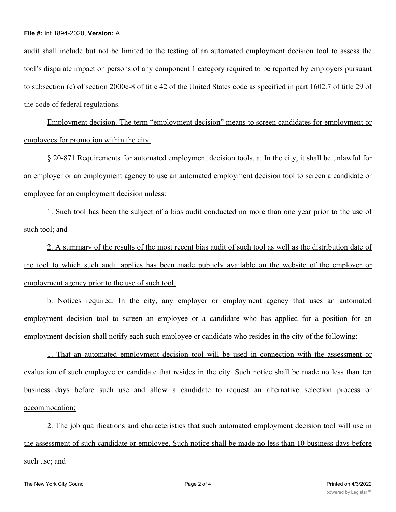## **File #:** Int 1894-2020, **Version:** A

audit shall include but not be limited to the testing of an automated employment decision tool to assess the tool's disparate impact on persons of any component 1 category required to be reported by employers pursuant to subsection (c) of section 2000e-8 of title 42 of the United States code as specified in part 1602.7 of title 29 of the code of federal regulations.

Employment decision. The term "employment decision" means to screen candidates for employment or employees for promotion within the city.

§ 20-871 Requirements for automated employment decision tools. a. In the city, it shall be unlawful for an employer or an employment agency to use an automated employment decision tool to screen a candidate or employee for an employment decision unless:

1. Such tool has been the subject of a bias audit conducted no more than one year prior to the use of such tool; and

2. A summary of the results of the most recent bias audit of such tool as well as the distribution date of the tool to which such audit applies has been made publicly available on the website of the employer or employment agency prior to the use of such tool.

b. Notices required. In the city, any employer or employment agency that uses an automated employment decision tool to screen an employee or a candidate who has applied for a position for an employment decision shall notify each such employee or candidate who resides in the city of the following:

1. That an automated employment decision tool will be used in connection with the assessment or evaluation of such employee or candidate that resides in the city. Such notice shall be made no less than ten business days before such use and allow a candidate to request an alternative selection process or accommodation;

2. The job qualifications and characteristics that such automated employment decision tool will use in the assessment of such candidate or employee. Such notice shall be made no less than 10 business days before such use; and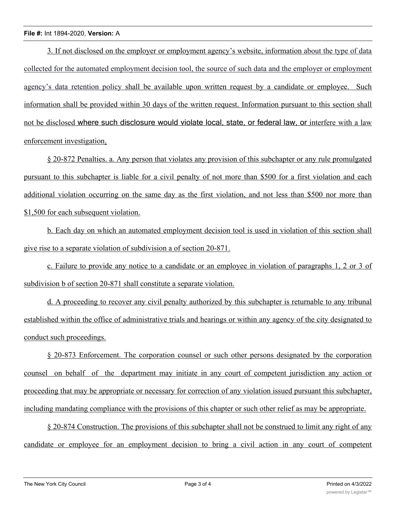## **File #:** Int 1894-2020, **Version:** A

3. If not disclosed on the employer or employment agency's website, information about the type of data collected for the automated employment decision tool, the source of such data and the employer or employment agency's data retention policy shall be available upon written request by a candidate or employee. Such information shall be provided within 30 days of the written request. Information pursuant to this section shall not be disclosed where such disclosure would violate local, state, or federal law, or interfere with a law enforcement investigation.

§ 20-872 Penalties. a. Any person that violates any provision of this subchapter or any rule promulgated pursuant to this subchapter is liable for a civil penalty of not more than \$500 for a first violation and each additional violation occurring on the same day as the first violation, and not less than \$500 nor more than \$1,500 for each subsequent violation.

b. Each day on which an automated employment decision tool is used in violation of this section shall give rise to a separate violation of subdivision a of section 20-871.

c. Failure to provide any notice to a candidate or an employee in violation of paragraphs 1, 2 or 3 of subdivision b of section 20-871 shall constitute a separate violation.

d. A proceeding to recover any civil penalty authorized by this subchapter is returnable to any tribunal established within the office of administrative trials and hearings or within any agency of the city designated to conduct such proceedings.

§ 20-873 Enforcement. The corporation counsel or such other persons designated by the corporation counsel on behalf of the department may initiate in any court of competent jurisdiction any action or proceeding that may be appropriate or necessary for correction of any violation issued pursuant this subchapter, including mandating compliance with the provisions of this chapter or such other relief as may be appropriate.

§ 20-874 Construction. The provisions of this subchapter shall not be construed to limit any right of any candidate or employee for an employment decision to bring a civil action in any court of competent